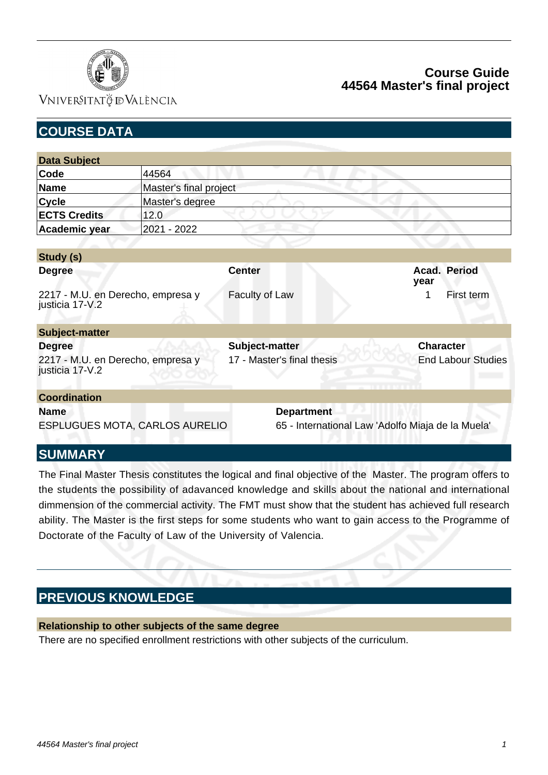

## VNIVERSITATÖ ID VALÈNCIA

# **Course Guide 44564 Master's final project**

| <b>COURSE DATA</b>                                   |                                       |                                                   |                           |
|------------------------------------------------------|---------------------------------------|---------------------------------------------------|---------------------------|
|                                                      |                                       |                                                   |                           |
| <b>Data Subject</b>                                  |                                       |                                                   |                           |
| Code                                                 | 44564                                 |                                                   |                           |
| <b>Name</b>                                          | Master's final project                |                                                   |                           |
| Cycle                                                | Master's degree                       |                                                   |                           |
| <b>ECTS Credits</b>                                  | 12.0                                  |                                                   |                           |
| Academic year                                        | 2021 - 2022                           |                                                   |                           |
|                                                      |                                       |                                                   |                           |
| Study (s)                                            |                                       |                                                   |                           |
| <b>Degree</b>                                        |                                       | <b>Center</b>                                     | Acad. Period<br>year      |
| 2217 - M.U. en Derecho, empresa y<br>justicia 17-V.2 |                                       | Faculty of Law                                    | 1<br>First term           |
| <b>Subject-matter</b>                                |                                       |                                                   |                           |
| <b>Degree</b>                                        |                                       | Subject-matter                                    | <b>Character</b>          |
| 2217 - M.U. en Derecho, empresa y<br>justicia 17-V.2 |                                       | 17 - Master's final thesis                        | <b>End Labour Studies</b> |
| <b>Coordination</b>                                  |                                       |                                                   |                           |
| <b>Name</b>                                          |                                       | <b>Department</b>                                 |                           |
|                                                      | <b>ESPLUGUES MOTA, CARLOS AURELIO</b> | 65 - International Law 'Adolfo Miaja de la Muela' |                           |
| <b>SUMMARY</b>                                       |                                       |                                                   |                           |

The Final Master Thesis constitutes the logical and final objective of the Master. The program offers to the students the possibility of adavanced knowledge and skills about the national and international dimmension of the commercial activity. The FMT must show that the student has achieved full research ability. The Master is the first steps for some students who want to gain access to the Programme of Doctorate of the Faculty of Law of the University of Valencia.

# **PREVIOUS KNOWLEDGE**

#### **Relationship to other subjects of the same degree**

There are no specified enrollment restrictions with other subjects of the curriculum.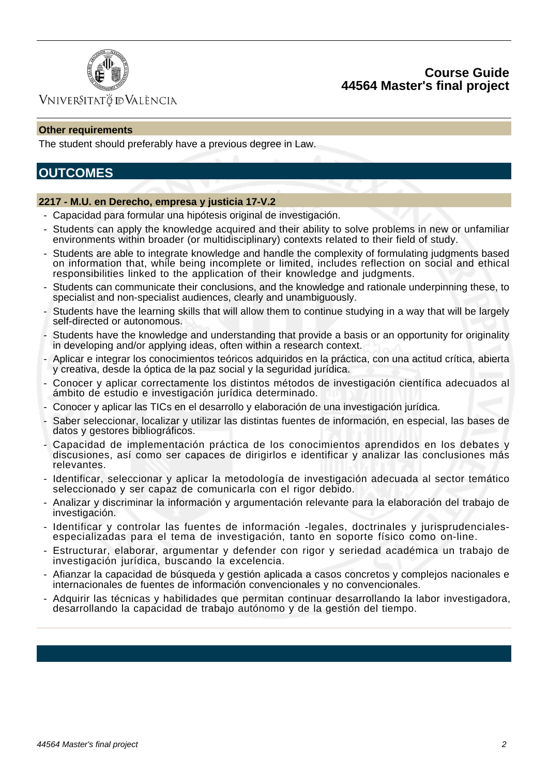

## **Course Guide 44564 Master's final project**

## VNIVERSITATÖ IDVALÈNCIA

#### **Other requirements**

The student should preferably have a previous degree in Law.

# **OUTCOMES**

#### **2217 - M.U. en Derecho, empresa y justicia 17-V.2**

- Capacidad para formular una hipótesis original de investigación.
- Students can apply the knowledge acquired and their ability to solve problems in new or unfamiliar environments within broader (or multidisciplinary) contexts related to their field of study.
- Students are able to integrate knowledge and handle the complexity of formulating judgments based on information that, while being incomplete or limited, includes reflection on social and ethical responsibilities linked to the application of their knowledge and judgments.
- Students can communicate their conclusions, and the knowledge and rationale underpinning these, to specialist and non-specialist audiences, clearly and unambiguously.
- Students have the learning skills that will allow them to continue studying in a way that will be largely self-directed or autonomous.
- Students have the knowledge and understanding that provide a basis or an opportunity for originality in developing and/or applying ideas, often within a research context.
- Aplicar e integrar los conocimientos teóricos adquiridos en la práctica, con una actitud crítica, abierta y creativa, desde la óptica de la paz social y la seguridad jurídica.
- Conocer y aplicar correctamente los distintos métodos de investigación científica adecuados al ámbito de estudio e investigación jurídica determinado.
- Conocer y aplicar las TICs en el desarrollo y elaboración de una investigación jurídica.
- Saber seleccionar, localizar y utilizar las distintas fuentes de información, en especial, las bases de datos y gestores bibliográficos.
- Capacidad de implementación práctica de los conocimientos aprendidos en los debates y discusiones, así como ser capaces de dirigirlos e identificar y analizar las conclusiones más relevantes.
- Identificar, seleccionar y aplicar la metodología de investigación adecuada al sector temático seleccionado y ser capaz de comunicarla con el rigor debido.
- Analizar y discriminar la información y argumentación relevante para la elaboración del trabajo de investigación.
- Identificar y controlar las fuentes de información -legales, doctrinales y jurisprudencialesespecializadas para el tema de investigación, tanto en soporte físico como on-line.
- Estructurar, elaborar, argumentar y defender con rigor y seriedad académica un trabajo de investigación jurídica, buscando la excelencia.
- Afianzar la capacidad de búsqueda y gestión aplicada a casos concretos y complejos nacionales e internacionales de fuentes de información convencionales y no convencionales.
- Adquirir las técnicas y habilidades que permitan continuar desarrollando la labor investigadora, desarrollando la capacidad de trabajo autónomo y de la gestión del tiempo.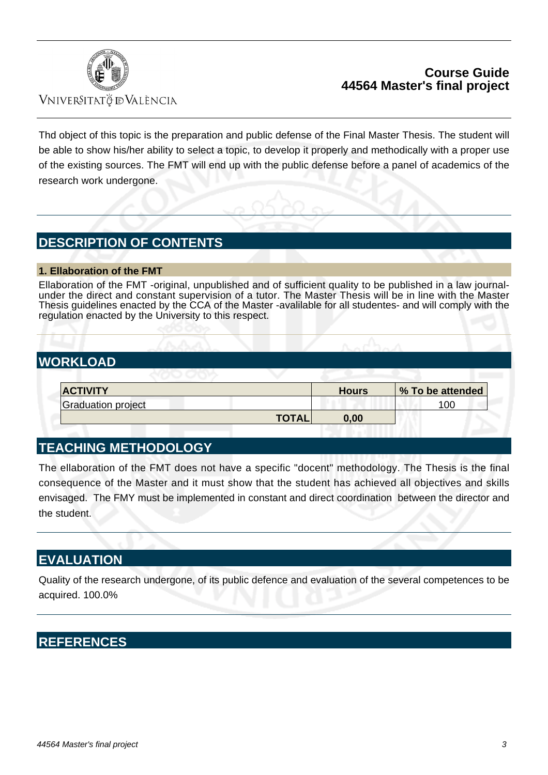

## **Course Guide 44564 Master's final project**

Vniver§itatğ dValència

Thd object of this topic is the preparation and public defense of the Final Master Thesis. The student will be able to show his/her ability to select a topic, to develop it properly and methodically with a proper use of the existing sources. The FMT will end up with the public defense before a panel of academics of the research work undergone.

# **DESCRIPTION OF CONTENTS**

#### **1. Ellaboration of the FMT**

Ellaboration of the FMT -original, unpublished and of sufficient quality to be published in a law journalunder the direct and constant supervision of a tutor. The Master Thesis will be in line with the Master Thesis guidelines enacted by the CCA of the Master -avalilable for all studentes- and will comply with the regulation enacted by the University to this respect.

# **WORKLOAD**

| <b>ACTIVITY</b>    |              | <b>Hours</b> | % To be attended |
|--------------------|--------------|--------------|------------------|
| Graduation project |              |              | 100              |
|                    | <b>TOTAL</b> | 0.00         |                  |

# **TEACHING METHODOLOGY**

The ellaboration of the FMT does not have a specific "docent" methodology. The Thesis is the final consequence of the Master and it must show that the student has achieved all objectives and skills envisaged. The FMY must be implemented in constant and direct coordination between the director and the student.

## **EVALUATION**

Quality of the research undergone, of its public defence and evaluation of the several competences to be acquired. 100.0%

# **REFERENCES**